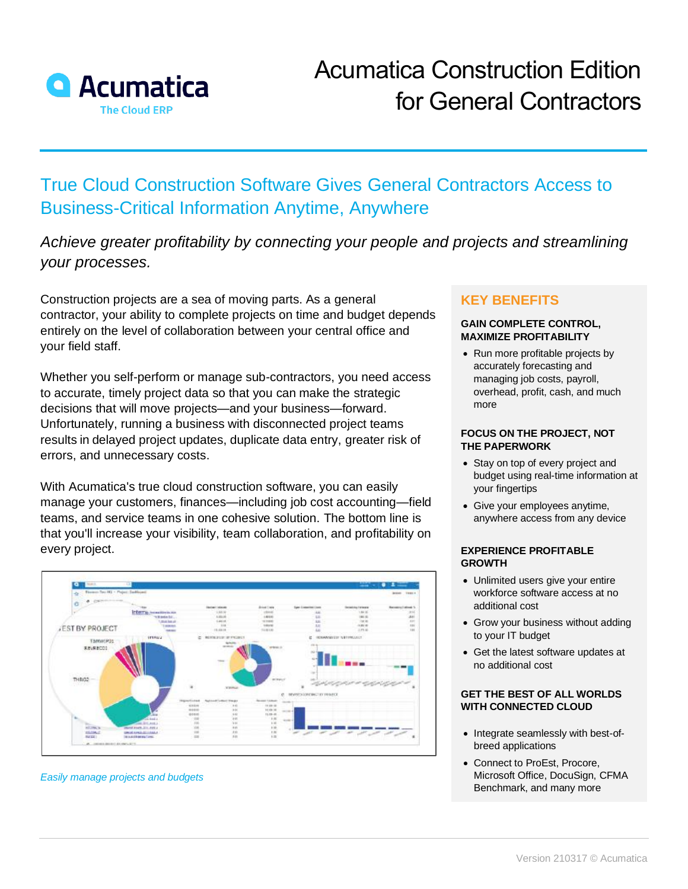

# True Cloud Construction Software Gives General Contractors Access to Business-Critical Information Anytime, Anywhere

*Achieve greater profitability by connecting your people and projects and streamlining your processes.*

Construction projects are a sea of moving parts. As a general contractor, your ability to complete projects on time and budget depends entirely on the level of collaboration between your central office and your field staff.

Whether you self-perform or manage sub-contractors, you need access to accurate, timely project data so that you can make the strategic decisions that will move projects—and your business—forward. Unfortunately, running a business with disconnected project teams results in delayed project updates, duplicate data entry, greater risk of errors, and unnecessary costs.

With Acumatica's true cloud construction software, you can easily manage your customers, finances—including job cost accounting—field teams, and service teams in one cohesive solution. The bottom line is that you'll increase your visibility, team collaboration, and profitability on every project.



#### *Easily manage projects and budgets*

## **KEY BENEFITS**

#### **GAIN COMPLETE CONTROL, MAXIMIZE PROFITABILITY**

• Run more profitable projects by accurately forecasting and managing job costs, payroll, overhead, profit, cash, and much more

#### **FOCUS ON THE PROJECT, NOT THE PAPERWORK**

- Stay on top of every project and budget using real-time information at your fingertips
- Give your employees anytime, anywhere access from any device

#### **EXPERIENCE PROFITABLE GROWTH**

- Unlimited users give your entire workforce software access at no additional cost
- Grow your business without adding to your IT budget
- Get the latest software updates at no additional cost

#### **GET THE BEST OF ALL WORLDS WITH CONNECTED CLOUD**

- Integrate seamlessly with best-ofbreed applications
- Connect to ProEst, Procore, Microsoft Office, DocuSign, CFMA Benchmark, and many more